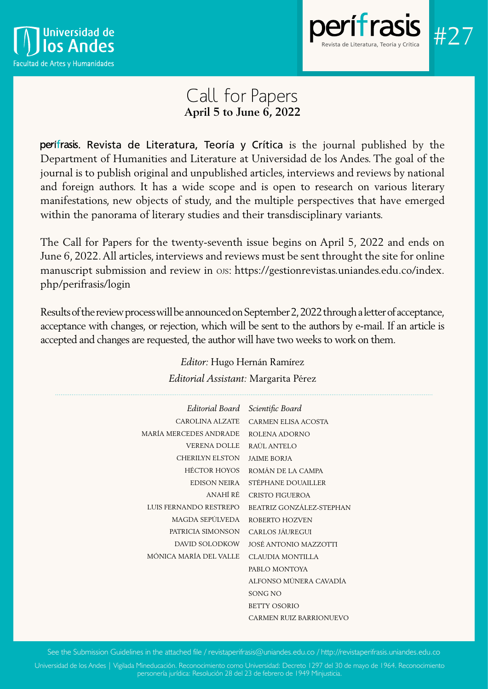



# Call for Papers **April 5 to June 6, 2022**

perifrasis. Revista de Literatura, Teoría y Crítica is the journal published by the Department of Humanities and Literature at Universidad de los Andes. The goal of the journal is to publish original and unpublished articles, interviews and reviews by national and foreign authors. It has a wide scope and is open to research on various literary manifestations, new objects of study, and the multiple perspectives that have emerged within the panorama of literary studies and their transdisciplinary variants.

The Call for Papers for the twenty-seventh issue begins on April 5, 2022 and ends on June 6, 2022. All articles, interviews and reviews must be sent throught the site for online manuscript submission and review in ojs: https://gestionrevistas.uniandes.edu.co/index. php/perifrasis/login

Results of the review process will be announced on September 2, 2022 through a letter of acceptance, acceptance with changes, or rejection, which will be sent to the authors by e-mail. If an article is accepted and changes are requested, the author will have two weeks to work on them.

| Lauonai Assisianii. Margarita I CICZ |  |
|--------------------------------------|--|
| Editorial Board Scientific Board     |  |
| CARMEN ELISA ACOSTA                  |  |
| ROLENA ADORNO                        |  |
| RAÚL ANTELO                          |  |
| <b>JAIME BORJA</b>                   |  |
| ROMÁN DE LA CAMPA                    |  |
| STÉPHANE DOUAILLER                   |  |
| <b>CRISTO FIGUEROA</b>               |  |
| BEATRIZ GONZÁLEZ-STEPHAN             |  |
| ROBERTO HOZVEN                       |  |
| CARLOS JÁUREGUI                      |  |
| JOSÉ ANTONIO MAZZOTTI                |  |
| <b>CLAUDIA MONTILLA</b>              |  |
| PABLO MONTOYA                        |  |
| ALFONSO MÚNERA CAVADÍA               |  |
| <b>SONG NO</b>                       |  |
| <b>BETTY OSORIO</b>                  |  |
| CARMEN RUIZ BARRIONUEVO              |  |
|                                      |  |

*Editor:* Hugo Hernán Ramírez *Editorial Assistant:* Margarita Pérez

See the Submission Guidelines in the attached file / revistaperifrasis@uniandes.edu.co / http://revistaperifrasis.uniandes.edu.co

Universidad de los Andes | Vigilada Mineducación. Reconocimiento como Universidad: Decreto 1297 del 30 de mayo de 1964. Reconocimiento personería jurídica: Resolución 28 del 23 de febrero de 1949 Minjusticia.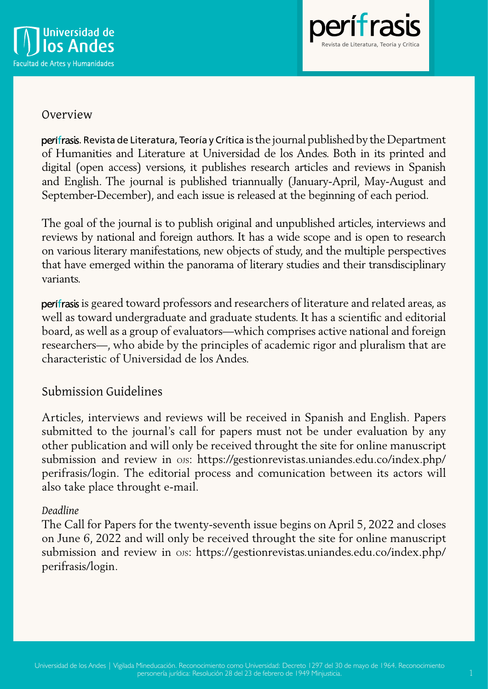



## Overview

. Revista de Literatura, Teoría y Crítica is the journal published by the Department of Humanities and Literature at Universidad de los Andes. Both in its printed and digital (open access) versions, it publishes research articles and reviews in Spanish and English. The journal is published triannually (January-April, May-August and September-December), and each issue is released at the beginning of each period.

The goal of the journal is to publish original and unpublished articles, interviews and reviews by national and foreign authors. It has a wide scope and is open to research on various literary manifestations, new objects of study, and the multiple perspectives that have emerged within the panorama of literary studies and their transdisciplinary variants.

perifrasis is geared toward professors and researchers of literature and related areas, as well as toward undergraduate and graduate students. It has a scientific and editorial board, as well as a group of evaluators—which comprises active national and foreign researchers—, who abide by the principles of academic rigor and pluralism that are characteristic of Universidad de los Andes.

## Submission Guidelines

Articles, interviews and reviews will be received in Spanish and English. Papers submitted to the journal's call for papers must not be under evaluation by any other publication and will only be received throught the site for online manuscript submission and review in ojs: https://gestionrevistas.uniandes.edu.co/index.php/ perifrasis/login. The editorial process and comunication between its actors will also take place throught e-mail.

### *Deadline*

The Call for Papers for the twenty-seventh issue begins on April 5, 2022 and closes on June 6, 2022 and will only be received throught the site for online manuscript submission and review in ojs: https://gestionrevistas.uniandes.edu.co/index.php/ perifrasis/login.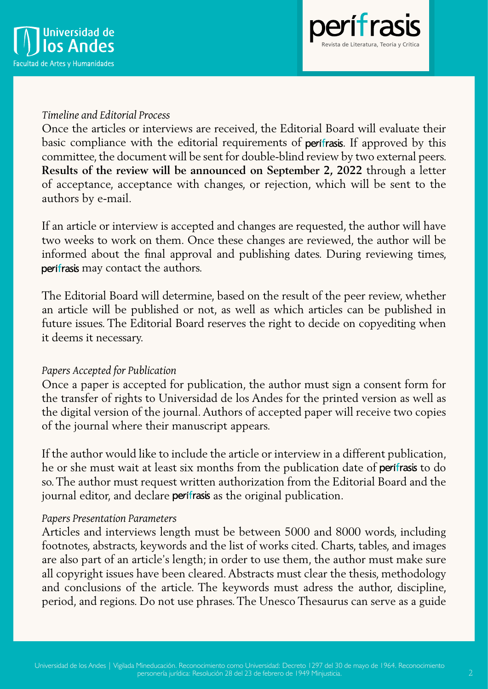



### *Timeline and Editorial Process*

Once the articles or interviews are received, the Editorial Board will evaluate their basic compliance with the editorial requirements of perifrasis. If approved by this committee, the document will be sent for double-blind review by two external peers. **Results of the review will be announced on September 2, 2022** through a letter of acceptance, acceptance with changes, or rejection, which will be sent to the authors by e-mail.

If an article or interview is accepted and changes are requested, the author will have two weeks to work on them. Once these changes are reviewed, the author will be informed about the final approval and publishing dates. During reviewing times, perifrasis may contact the authors.

The Editorial Board will determine, based on the result of the peer review, whether an article will be published or not, as well as which articles can be published in future issues. The Editorial Board reserves the right to decide on copyediting when it deems it necessary.

### *Papers Accepted for Publication*

Once a paper is accepted for publication, the author must sign a consent form for the transfer of rights to Universidad de los Andes for the printed version as well as the digital version of the journal. Authors of accepted paper will receive two copies of the journal where their manuscript appears.

If the author would like to include the article or interview in a different publication, he or she must wait at least six months from the publication date of perifrasis to do so. The author must request written authorization from the Editorial Board and the journal editor, and declare perifrasis as the original publication.

### *Papers Presentation Parameters*

Articles and interviews length must be between 5000 and 8000 words, including footnotes, abstracts, keywords and the list of works cited. Charts, tables, and images are also part of an article's length; in order to use them, the author must make sure all copyright issues have been cleared. Abstracts must clear the thesis, methodology and conclusions of the article. The keywords must adress the author, discipline, period, and regions. Do not use phrases. The Unesco Thesaurus can serve as a guide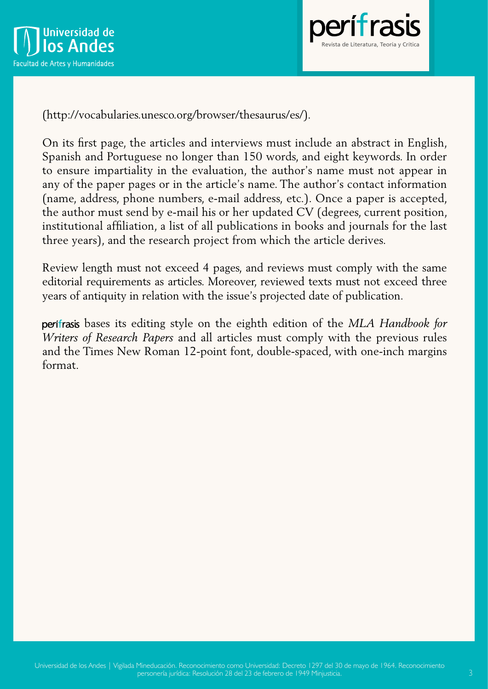



(http://vocabularies.unesco.org/browser/thesaurus/es/).

On its first page, the articles and interviews must include an abstract in English, Spanish and Portuguese no longer than 150 words, and eight keywords. In order to ensure impartiality in the evaluation, the author's name must not appear in any of the paper pages or in the article's name. The author's contact information (name, address, phone numbers, e-mail address, etc.). Once a paper is accepted, the author must send by e-mail his or her updated CV (degrees, current position, institutional affiliation, a list of all publications in books and journals for the last three years), and the research project from which the article derives.

Review length must not exceed 4 pages, and reviews must comply with the same editorial requirements as articles. Moreover, reviewed texts must not exceed three years of antiquity in relation with the issue's projected date of publication.

 bases its editing style on the eighth edition of the *MLA Handbook for Writers of Research Papers* and all articles must comply with the previous rules and the Times New Roman 12-point font, double-spaced, with one-inch margins format.